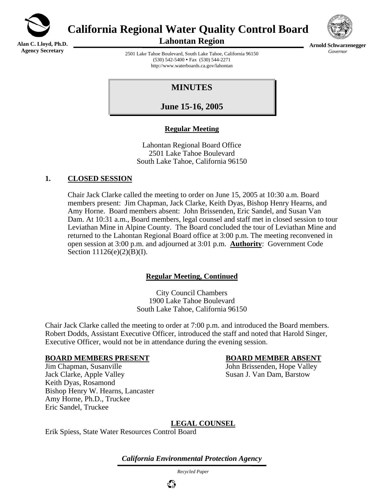

**Alan C. Lloyd, Ph.D. Agency Secretary**

**California Regional Water Quality Control Board** 





**Arnold Schwarzenegger** *Governor* 

2501 Lake Tahoe Boulevard, South Lake Tahoe, California 96150  $(530)$  542-5400 • Fax  $(530)$  544-2271 http://www.waterboards.ca.gov/lahontan

# **MINUTES**

**June 15-16, 2005**

# **Regular Meeting**

Lahontan Regional Board Office 2501 Lake Tahoe Boulevard South Lake Tahoe, California 96150

# **1. CLOSED SESSION**

Chair Jack Clarke called the meeting to order on June 15, 2005 at 10:30 a.m. Board members present: Jim Chapman, Jack Clarke, Keith Dyas, Bishop Henry Hearns, and Amy Horne. Board members absent: John Brissenden, Eric Sandel, and Susan Van Dam. At 10:31 a.m., Board members, legal counsel and staff met in closed session to tour Leviathan Mine in Alpine County. The Board concluded the tour of Leviathan Mine and returned to the Lahontan Regional Board office at 3:00 p.m. The meeting reconvened in open session at 3:00 p.m. and adjourned at 3:01 p.m. **Authority**: Government Code Section 11126(e)(2)(B)(I).

## **Regular Meeting, Continued**

City Council Chambers 1900 Lake Tahoe Boulevard South Lake Tahoe, California 96150

Chair Jack Clarke called the meeting to order at 7:00 p.m. and introduced the Board members. Robert Dodds, Assistant Executive Officer, introduced the staff and noted that Harold Singer, Executive Officer, would not be in attendance during the evening session.

#### **BOARD MEMBERS PRESENT BOARD MEMBER ABSENT**

Jim Chapman, Susanville John Brissenden, Hope Valley Jack Clarke, Apple Valley Susan J. Van Dam, Barstow Keith Dyas, Rosamond Bishop Henry W. Hearns, Lancaster Amy Horne, Ph.D., Truckee Eric Sandel, Truckee

# **LEGAL COUNSEL**

Erik Spiess, State Water Resources Control Board

*California Environmental Protection Agency*

 *Recycled Paper*

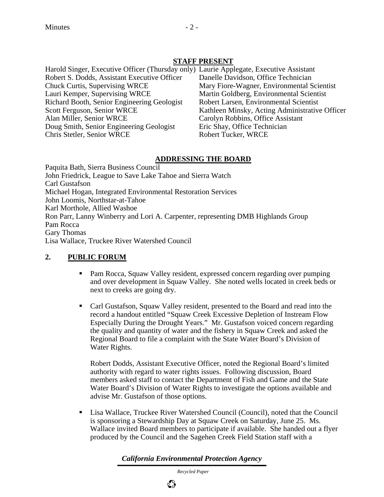## **STAFF PRESENT**

Harold Singer, Executive Officer (Thursday only) Laurie Applegate, Executive Assistant Robert S. Dodds, Assistant Executive Officer Danelle Davidson, Office Technician Chuck Curtis, Supervising WRCE Mary Fiore-Wagner, Environmental Scientist Lauri Kemper, Supervising WRCE Martin Goldberg, Environmental Scientist Richard Booth, Senior Engineering Geologist Robert Larsen, Environmental Scientist Alan Miller, Senior WRCE Carolyn Robbins, Office Assistant Doug Smith, Senior Engineering Geologist Eric Shay, Office Technician Chris Stetler, Senior WRCE Robert Tucker, WRCE

Scott Ferguson, Senior WRCE Kathleen Minsky, Acting Administrative Officer

## **ADDRESSING THE BOARD**

Paquita Bath, Sierra Business Council John Friedrick, League to Save Lake Tahoe and Sierra Watch Carl Gustafson Michael Hogan, Integrated Environmental Restoration Services John Loomis, Northstar-at-Tahoe Karl Morthole, Allied Washoe Ron Parr, Lanny Winberry and Lori A. Carpenter, representing DMB Highlands Group Pam Rocca Gary Thomas Lisa Wallace, Truckee River Watershed Council

# **2. PUBLIC FORUM**

- Pam Rocca, Squaw Valley resident, expressed concern regarding over pumping and over development in Squaw Valley. She noted wells located in creek beds or next to creeks are going dry.
- Carl Gustafson, Squaw Valley resident, presented to the Board and read into the record a handout entitled "Squaw Creek Excessive Depletion of Instream Flow Especially During the Drought Years." Mr. Gustafson voiced concern regarding the quality and quantity of water and the fishery in Squaw Creek and asked the Regional Board to file a complaint with the State Water Board's Division of Water Rights.

Robert Dodds, Assistant Executive Officer, noted the Regional Board's limited authority with regard to water rights issues. Following discussion, Board members asked staff to contact the Department of Fish and Game and the State Water Board's Division of Water Rights to investigate the options available and advise Mr. Gustafson of those options.

 Lisa Wallace, Truckee River Watershed Council (Council), noted that the Council is sponsoring a Stewardship Day at Squaw Creek on Saturday, June 25. Ms. Wallace invited Board members to participate if available. She handed out a flyer produced by the Council and the Sagehen Creek Field Station staff with a

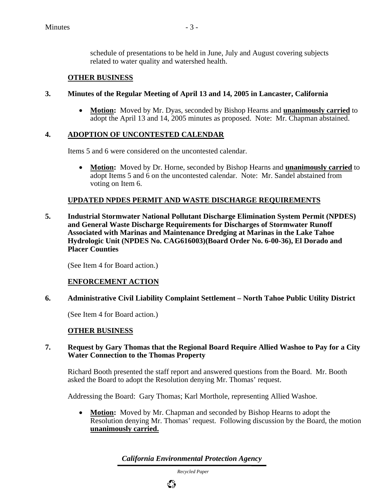schedule of presentations to be held in June, July and August covering subjects related to water quality and watershed health.

## **OTHER BUSINESS**

#### **3. Minutes of the Regular Meeting of April 13 and 14, 2005 in Lancaster, California**

• **Motion:** Moved by Mr. Dyas, seconded by Bishop Hearns and **unanimously carried** to adopt the April 13 and 14, 2005 minutes as proposed. Note: Mr. Chapman abstained.

## **4. ADOPTION OF UNCONTESTED CALENDAR**

Items 5 and 6 were considered on the uncontested calendar.

• **Motion:** Moved by Dr. Horne, seconded by Bishop Hearns and **unanimously carried** to adopt Items 5 and 6 on the uncontested calendar. Note: Mr. Sandel abstained from voting on Item 6.

## **UPDATED NPDES PERMIT AND WASTE DISCHARGE REQUIREMENTS**

**5. Industrial Stormwater National Pollutant Discharge Elimination System Permit (NPDES) and General Waste Discharge Requirements for Discharges of Stormwater Runoff Associated with Marinas and Maintenance Dredging at Marinas in the Lake Tahoe Hydrologic Unit (NPDES No. CAG616003)(Board Order No. 6-00-36), El Dorado and Placer Counties** 

(See Item 4 for Board action.)

#### **ENFORCEMENT ACTION**

#### **6. Administrative Civil Liability Complaint Settlement – North Tahoe Public Utility District**

(See Item 4 for Board action.)

#### **OTHER BUSINESS**

#### **7. Request by Gary Thomas that the Regional Board Require Allied Washoe to Pay for a City Water Connection to the Thomas Property**

Richard Booth presented the staff report and answered questions from the Board. Mr. Booth asked the Board to adopt the Resolution denying Mr. Thomas' request.

Addressing the Board: Gary Thomas; Karl Morthole, representing Allied Washoe.

• **Motion:** Moved by Mr. Chapman and seconded by Bishop Hearns to adopt the Resolution denying Mr. Thomas' request. Following discussion by the Board, the motion **unanimously carried.**

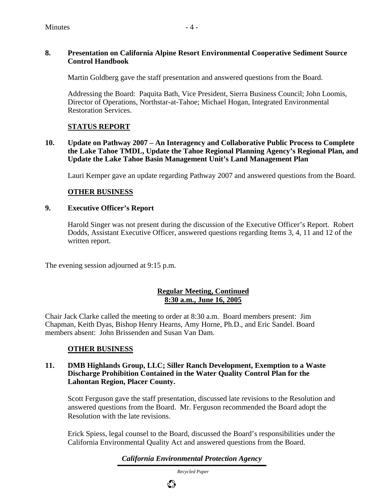## **8. Presentation on California Alpine Resort Environmental Cooperative Sediment Source Control Handbook**

Martin Goldberg gave the staff presentation and answered questions from the Board.

Addressing the Board: Paquita Bath, Vice President, Sierra Business Council; John Loomis, Director of Operations, Northstar-at-Tahoe; Michael Hogan, Integrated Environmental Restoration Services.

# **STATUS REPORT**

**10. Update on Pathway 2007 – An Interagency and Collaborative Public Process to Complete the Lake Tahoe TMDL, Update the Tahoe Regional Planning Agency's Regional Plan, and Update the Lake Tahoe Basin Management Unit's Land Management Plan** 

Lauri Kemper gave an update regarding Pathway 2007 and answered questions from the Board.

# **OTHER BUSINESS**

## **9. Executive Officer's Report**

Harold Singer was not present during the discussion of the Executive Officer's Report. Robert Dodds, Assistant Executive Officer, answered questions regarding Items 3, 4, 11 and 12 of the written report.

The evening session adjourned at 9:15 p.m.

# **Regular Meeting, Continued 8:30 a.m., June 16, 2005**

Chair Jack Clarke called the meeting to order at 8:30 a.m. Board members present: Jim Chapman, Keith Dyas, Bishop Henry Hearns, Amy Horne, Ph.D., and Eric Sandel. Board members absent: John Brissenden and Susan Van Dam.

## **OTHER BUSINESS**

#### **11. DMB Highlands Group, LLC; Siller Ranch Development, Exemption to a Waste Discharge Prohibition Contained in the Water Quality Control Plan for the Lahontan Region, Placer County.**

Scott Ferguson gave the staff presentation, discussed late revisions to the Resolution and answered questions from the Board. Mr. Ferguson recommended the Board adopt the Resolution with the late revisions.

Erick Spiess, legal counsel to the Board, discussed the Board's responsibilities under the California Environmental Quality Act and answered questions from the Board.